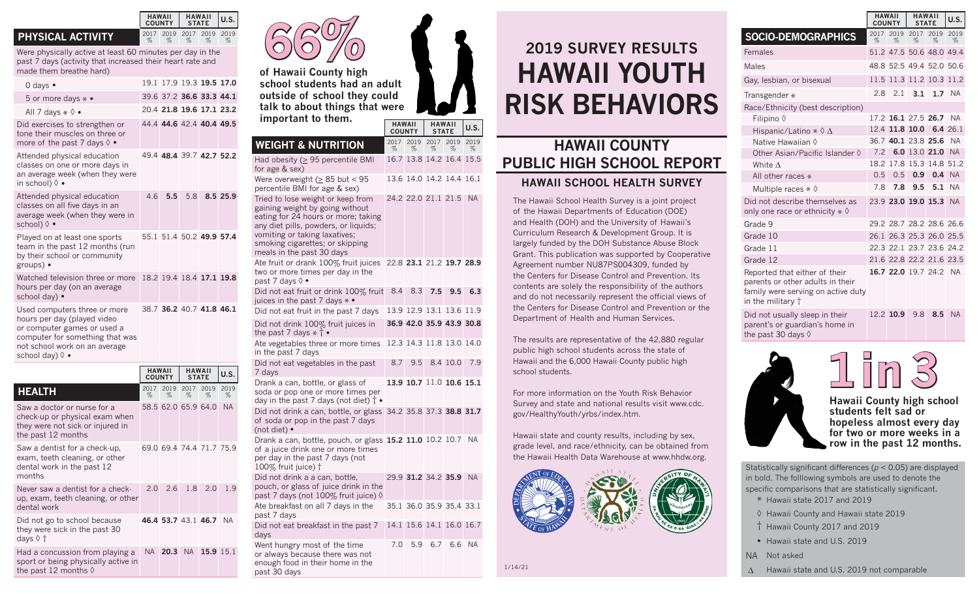## **PHYSICAL ACTIVITY**

dental work in the past 12

Never saw a dentist for a checkup, exam, teeth cleaning, or other

Did not go to school because they were sick in the past 30

the past 12 months  $\Diamond$ 

Had a concussion from playing a sport or being physically active in

months

dental work

days ◊ †

Were physically active at least 60 minutes per day in the past 7 days (activity that increased their heart rate and made them breathe hard)

**HAWAII COUNTY**

%

%

**HAWAII STATE U.S.**

%

2019 2017 2019 2019

% %

2.0 2.6 1.8 2.0 1.9

**46.4 53.7** 43.1 **46.7** NA

NA **20.3** NA **15.9** 15.1

|  | 0 days •                                                                                                                                                                          |                                | 19.1 17.9 19.3 19.5 17.0 |                               |              |              |
|--|-----------------------------------------------------------------------------------------------------------------------------------------------------------------------------------|--------------------------------|--------------------------|-------------------------------|--------------|--------------|
|  | 5 or more days $* \bullet$                                                                                                                                                        |                                | 39.6 37.2 36.6 33.3 44.1 |                               |              |              |
|  | All 7 days $\ast \Diamond \bullet$                                                                                                                                                |                                | 20.4 21.8 19.6 17.1 23.2 |                               |              |              |
|  | Did exercises to strengthen or<br>tone their muscles on three or<br>more of the past 7 days 0 •                                                                                   |                                | 44.4 44.6 42.4 40.4 49.5 |                               |              |              |
|  | Attended physical education<br>classes on one or more days in<br>an average week (when they were<br>in school) $\lozenge$ •                                                       |                                | 49.4 48.4 39.7 42.7 52.2 |                               |              |              |
|  | Attended physical education<br>classes on all five days in an<br>average week (when they were in<br>school) $\lozenge$ •                                                          | 4.6                            | 5.5                      | 5.8                           |              | 8.5 25.9     |
|  | Played on at least one sports<br>team in the past 12 months (run<br>by their school or community<br>groups) •                                                                     |                                | 55.1 51.4 50.2 49.9 57.4 |                               |              |              |
|  | Watched television three or more<br>hours per day (on an average<br>school day) •                                                                                                 |                                | 18.2 19.4 18.4 17.1 19.8 |                               |              |              |
|  | Used computers three or more<br>hours per day (played video<br>or computer games or used a<br>computer for something that was<br>not school work on an average<br>school day) ♦ • |                                | 38.7 36.2 40.7 41.8 46.1 |                               |              |              |
|  |                                                                                                                                                                                   | <b>HAWAII</b><br><b>COUNTY</b> |                          | <b>HAWAII</b><br><b>STATE</b> |              | U.S.         |
|  | <b>HEALTH</b>                                                                                                                                                                     | 2017<br>%                      | 2019<br>%                | 2017<br>$\%$                  | 2019<br>$\%$ | 2019<br>$\%$ |
|  | Saw a doctor or nurse for a<br>check-up or physical exam when<br>they were not sick or injured in<br>the past 12 months                                                           |                                | 58.5 62.0 65.9 64.0      |                               |              | <b>NA</b>    |
|  | Saw a dentist for a check-up,<br>exam, teeth cleaning, or other                                                                                                                   |                                | 69.0 69.4 74.4 71.7 75.9 |                               |              |              |



**of Hawaii County high school students had an adult outside of school they could talk to about things that were important to them.**

**HAWAII COUNTY** **HAWAII STATE U.S.**

| <b>WEIGHT &amp; NUTRITION</b>                                                                                                                                                                                                                        | 2017<br>% | 2019<br>%           | 2017<br>%   | 2019<br>%                | 2019<br>% |  |
|------------------------------------------------------------------------------------------------------------------------------------------------------------------------------------------------------------------------------------------------------|-----------|---------------------|-------------|--------------------------|-----------|--|
| Had obesity ( $\geq$ 95 percentile BMI<br>for age & sex)                                                                                                                                                                                             |           |                     |             | 16.7 13.8 14.2 16.4 15.5 |           |  |
| Were overweight ( $\geq$ 85 but < 95<br>percentile BMI for age & sex)                                                                                                                                                                                |           |                     |             | 13.6 14.0 14.2 14.4 16.1 |           |  |
| Tried to lose weight or keep from<br>gaining weight by going without<br>eating for 24 hours or more; taking<br>any diet pills, powders, or liquids;<br>vomiting or taking laxatives;<br>smoking cigarettes; or skipping<br>meals in the past 30 days |           | 24.2 22.0 21.1 21.5 |             |                          | NA.       |  |
| Ate fruit or drank 100% fruit juices<br>two or more times per day in the<br>past 7 days 0 •                                                                                                                                                          |           |                     |             | 22.8 23.1 21.2 19.7 28.9 |           |  |
| Did not eat fruit or drink 100% fruit<br>juices in the past 7 days $* \bullet$                                                                                                                                                                       | 8.4       | 8.3                 | 7.5         | 9.5                      | 6.3       |  |
| Did not eat fruit in the past 7 days                                                                                                                                                                                                                 |           |                     |             | 13.9 12.9 13.1 13.6 11.9 |           |  |
| Did not drink 100% fruit juices in<br>the past 7 days $*$ † $\bullet$                                                                                                                                                                                |           |                     |             | 36.9 42.0 35.9 43.9 30.8 |           |  |
| Ate vegetables three or more times<br>in the past 7 days                                                                                                                                                                                             |           |                     |             | 12.3 14.3 11.8 13.0 14.0 |           |  |
| Did not eat vegetables in the past<br>7 days                                                                                                                                                                                                         | 8.7       | 9.5                 |             | 8.4 10.0                 | 7.9       |  |
| Drank a can, bottle, or glass of<br>soda or pop one or more times per<br>day in the past 7 days (not diet) $\dagger$ •                                                                                                                               |           |                     |             | 13.9 10.7 11.0 10.6 15.1 |           |  |
| Did not drink a can, bottle, or glass 34.2 35.8 37.3 38.8 31.7<br>of soda or pop in the past 7 days<br>(not diet) •                                                                                                                                  |           |                     |             |                          |           |  |
| Drank a can, bottle, pouch, or glass 15.2 11.0 10.2 10.7<br>of a juice drink one or more times<br>per day in the past 7 days (not<br>$100\%$ fruit juice) $\dagger$                                                                                  |           |                     |             |                          | - NA      |  |
| Did not drink a a can, bottle,<br>pouch, or glass of juice drink in the<br>past 7 days (not 100% fruit juice) $\Diamond$                                                                                                                             |           |                     |             | 29.9 31.2 34.2 35.9 NA   |           |  |
| Ate breakfast on all 7 days in the<br>past 7 days                                                                                                                                                                                                    |           |                     |             | 35.1 36.0 35.9 35.4 33.1 |           |  |
| Did not eat breakfast in the past 7<br>days                                                                                                                                                                                                          |           |                     |             | 14.1 15.6 14.1 16.0 16.7 |           |  |
| Went hungry most of the time<br>or always because there was not                                                                                                                                                                                      | 7.0       |                     | 5.9 6.7 6.6 |                          | <b>NA</b> |  |

enough food in their home in the

past 30 days

## **2019 SURVEY RESULTS HAWAII YOUTH RISK BEHAVIORS**

## **HAWAII COUNTY PUBLIC HIGH SCHOOL REPORT HAWAII SCHOOL HEALTH SURVEY**

The Hawaii School Health Survey is a joint project of the Hawaii Departments of Education (DOE) and Health (DOH) and the University of Hawaii's Curriculum Research & Development Group. It is largely funded by the DOH Substance Abuse Block Grant. This publication was supported by Cooperative Agreement number NU87PS004309, funded by the Centers for Disease Control and Prevention. Its contents are solely the responsibility of the authors and do not necessarily represent the official views of the Centers for Disease Control and Prevention or the Department of Health and Human Services.

The results are representative of the 42,880 regular public high school students across the state of Hawaii and the 6,000 Hawaii County public high school students.

For more information on the Youth Risk Behavior Survey and state and national results visit www.cdc. gov/HealthyYouth/yrbs/index.htm.

Hawaii state and county results, including by sex, grade level, and race/ethnicity, can be obtained from the Hawaii Health Data Warehouse at www.hhdw.org.



**HAWAII COUNTY HAWAII STATE U.S. SOCIO-DEMOGRAPHICS** % 2019 2017 2019 2019 % % % Females 51.2 47.5 50.6 48.0 49.4 Males 48.8 52.5 49.4 52.0 50.6 Gay, lesbian, or bisexual 11.5 11.3 11.2 10.3 11.2 Transgender \* 2.8 2.1 **3.1 1.7** NA Race/Ethnicity (best description) Filipino ◊ 17.2 **16.1** 27.5 **26.7** NA Hispanic/Latino \* ◊ ∆ 12.4 **11.8 10.0 6.4** 26.1 Native Hawaiian ◊ 36.7 **40.1** 23.8 **25.6** NA Other Asian/Pacific Islander ◊ 7.2 **6.0** 13.0 **21.0** NA White ∆ 18.2 17.8 15.3 14.8 51.2 All other races \* 0.5 0.5 **0.9 0.4** NA Multiple races \* ◊ 7.8 **7.8 9.5 5.1** NA Did not describe themselves as only one race or ethnicity  $*$   $\diamond$ 23.9 **23.0 19.0 15.3** NA

| Grade 9                                                                                                                              |  | 29.2 28.7 28.2 28.6 26.6 |  |
|--------------------------------------------------------------------------------------------------------------------------------------|--|--------------------------|--|
| Grade 10                                                                                                                             |  | 26.1 26.3 25.3 26.0 25.5 |  |
| Grade 11                                                                                                                             |  | 22.3 22.1 23.7 23.6 24.2 |  |
| Grade 12                                                                                                                             |  | 21.6 22.8 22.2 21.6 23.5 |  |
| Reported that either of their<br>parents or other adults in their<br>family were serving on active duty<br>in the military $\dagger$ |  | 16.7 22.0 19.7 24.2 NA   |  |

Did not usually sleep in their parent's or guardian's home in the past 30 days ◊

 $in<sub>1</sub>$ 

12.2 **10.9** 9.8 **8.5** NA

%



**Hawaii County high school students felt sad or hopeless almost every day for two or more weeks in a** 

Statistically significant differences (*p* < 0.05) are displayed

in bold. The folllowing symbols are used to denote the specific comparisons that are statistically significant. \* Hawaii state 2017 and 2019

◊ Hawaii County and Hawaii state 2019

- † Hawaii County 2017 and 2019
- Hawaii state and U.S. 2019
- NA Not asked

∆ Hawaii state and U.S. 2019 not comparable